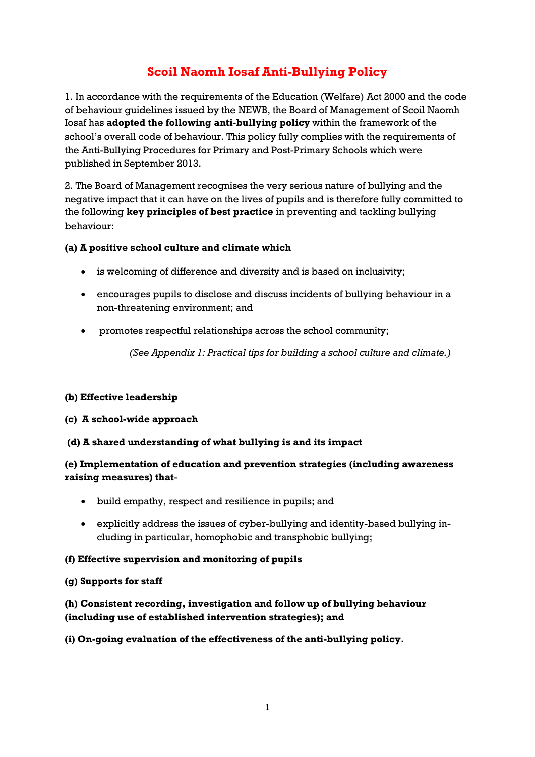## **Scoil Naomh Iosaf Anti-Bullying Policy**

1. In accordance with the requirements of the Education (Welfare) Act 2000 and the code of behaviour guidelines issued by the NEWB, the Board of Management of Scoil Naomh Iosaf has **adopted the following anti-bullying policy** within the framework of the school's overall code of behaviour. This policy fully complies with the requirements of the Anti-Bullying Procedures for Primary and Post-Primary Schools which were published in September 2013.

2. The Board of Management recognises the very serious nature of bullying and the negative impact that it can have on the lives of pupils and is therefore fully committed to the following **key principles of best practice** in preventing and tackling bullying behaviour:

## **(a) A positive school culture and climate which**

- is welcoming of difference and diversity and is based on inclusivity;
- encourages pupils to disclose and discuss incidents of bullying behaviour in a non-threatening environment; and
- promotes respectful relationships across the school community;

*(See Appendix 1: Practical tips for building a school culture and climate.)*

## **(b) Effective leadership**

- **(c) A school-wide approach**
- **(d) A shared understanding of what bullying is and its impact**

## **(e) Implementation of education and prevention strategies (including awareness raising measures) that**-

- build empathy, respect and resilience in pupils; and
- explicitly address the issues of cyber-bullying and identity-based bullying including in particular, homophobic and transphobic bullying;

## **(f) Effective supervision and monitoring of pupils**

## **(g) Supports for staff**

**(h) Consistent recording, investigation and follow up of bullying behaviour (including use of established intervention strategies); and**

## **(i) On-going evaluation of the effectiveness of the anti-bullying policy.**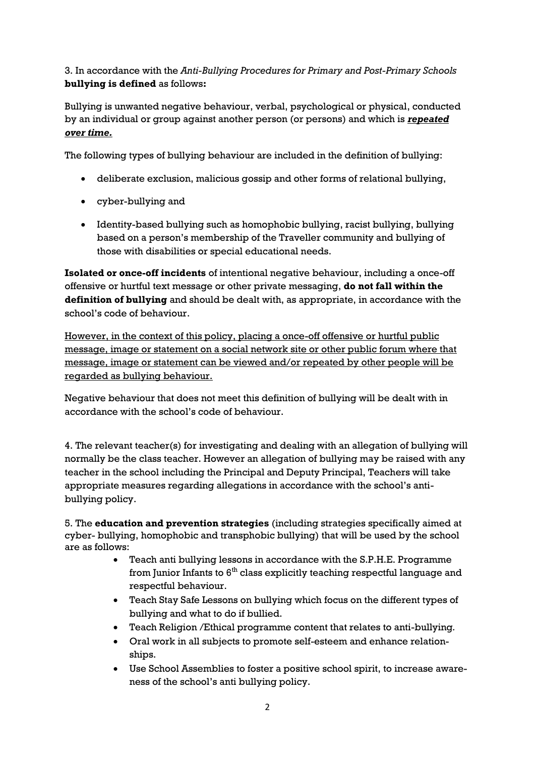## 3. In accordance with the *Anti-Bullying Procedures for Primary and Post-Primary Schools* **bullying is defined** as follows**:**

Bullying is unwanted negative behaviour, verbal, psychological or physical, conducted by an individual or group against another person (or persons) and which is *repeated over time.*

The following types of bullying behaviour are included in the definition of bullying:

- deliberate exclusion, malicious gossip and other forms of relational bullying,
- cyber-bullying and
- Identity-based bullying such as homophobic bullying, racist bullying, bullying based on a person's membership of the Traveller community and bullying of those with disabilities or special educational needs.

**Isolated or once-off incidents** of intentional negative behaviour, including a once-off offensive or hurtful text message or other private messaging, **do not fall within the definition of bullying** and should be dealt with, as appropriate, in accordance with the school's code of behaviour.

However, in the context of this policy, placing a once-off offensive or hurtful public message, image or statement on a social network site or other public forum where that message, image or statement can be viewed and/or repeated by other people will be regarded as bullying behaviour.

Negative behaviour that does not meet this definition of bullying will be dealt with in accordance with the school's code of behaviour.

4. The relevant teacher(s) for investigating and dealing with an allegation of bullying will normally be the class teacher. However an allegation of bullying may be raised with any teacher in the school including the Principal and Deputy Principal, Teachers will take appropriate measures regarding allegations in accordance with the school's antibullying policy.

5. The **education and prevention strategies** (including strategies specifically aimed at cyber- bullying, homophobic and transphobic bullying) that will be used by the school are as follows:

- Teach anti bullying lessons in accordance with the S.P.H.E. Programme from Junior Infants to  $6^{\text{th}}$  class explicitly teaching respectful language and respectful behaviour.
- Teach Stay Safe Lessons on bullying which focus on the different types of bullying and what to do if bullied.
- Teach Religion /Ethical programme content that relates to anti-bullying*.*
- Oral work in all subjects to promote self-esteem and enhance relationships.
- Use School Assemblies to foster a positive school spirit, to increase awareness of the school's anti bullying policy.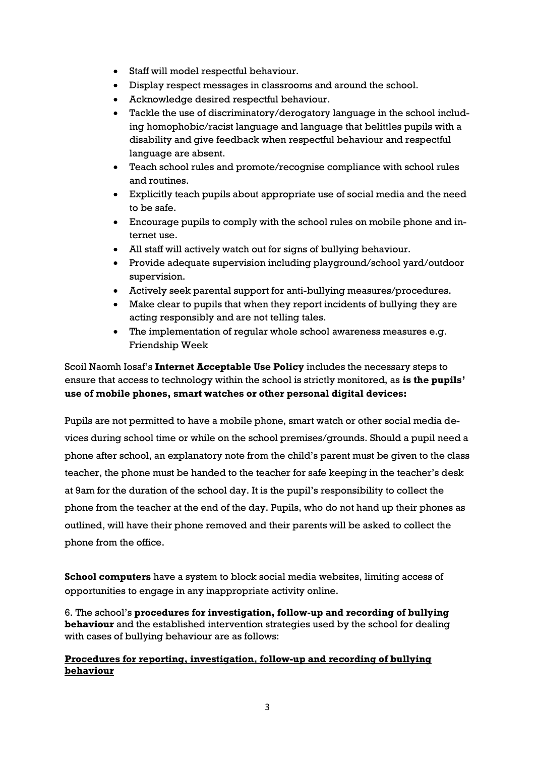- Staff will model respectful behaviour.
- Display respect messages in classrooms and around the school.
- Acknowledge desired respectful behaviour.
- Tackle the use of discriminatory/derogatory language in the school including homophobic/racist language and language that belittles pupils with a disability and give feedback when respectful behaviour and respectful language are absent.
- Teach school rules and promote/recognise compliance with school rules and routines.
- Explicitly teach pupils about appropriate use of social media and the need to be safe.
- Encourage pupils to comply with the school rules on mobile phone and internet use.
- All staff will actively watch out for signs of bullying behaviour.
- Provide adequate supervision including playground/school yard/outdoor supervision.
- Actively seek parental support for anti-bullying measures/procedures.
- Make clear to pupils that when they report incidents of bullying they are acting responsibly and are not telling tales.
- The implementation of regular whole school awareness measures e.g. Friendship Week

Scoil Naomh Iosaf's **Internet Acceptable Use Policy** includes the necessary steps to ensure that access to technology within the school is strictly monitored, as **is the pupils' use of mobile phones, smart watches or other personal digital devices:**

Pupils are not permitted to have a mobile phone, smart watch or other social media devices during school time or while on the school premises/grounds. Should a pupil need a phone after school, an explanatory note from the child's parent must be given to the class teacher, the phone must be handed to the teacher for safe keeping in the teacher's desk at 9am for the duration of the school day. It is the pupil's responsibility to collect the phone from the teacher at the end of the day. Pupils, who do not hand up their phones as outlined, will have their phone removed and their parents will be asked to collect the phone from the office.

**School computers** have a system to block social media websites, limiting access of opportunities to engage in any inappropriate activity online.

6. The school's **procedures for investigation, follow-up and recording of bullying behaviour** and the established intervention strategies used by the school for dealing with cases of bullying behaviour are as follows:

## **Procedures for reporting, investigation, follow-up and recording of bullying behaviour**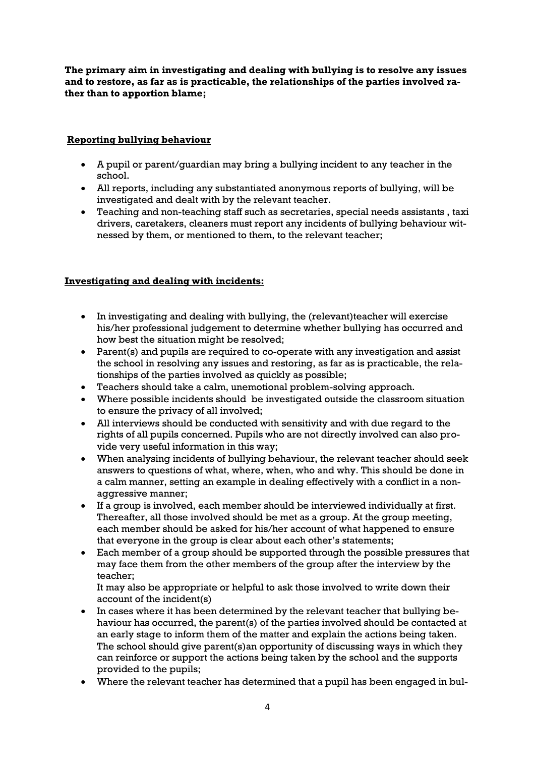**The primary aim in investigating and dealing with bullying is to resolve any issues and to restore, as far as is practicable, the relationships of the parties involved rather than to apportion blame;**

## **Reporting bullying behaviour**

- A pupil or parent/guardian may bring a bullying incident to any teacher in the school.
- All reports, including any substantiated anonymous reports of bullying, will be investigated and dealt with by the relevant teacher.
- Teaching and non-teaching staff such as secretaries, special needs assistants , taxi drivers, caretakers, cleaners must report any incidents of bullying behaviour witnessed by them, or mentioned to them, to the relevant teacher;

## **Investigating and dealing with incidents:**

- In investigating and dealing with bullying, the (relevant)teacher will exercise his/her professional judgement to determine whether bullying has occurred and how best the situation might be resolved;
- Parent(s) and pupils are required to co-operate with any investigation and assist the school in resolving any issues and restoring, as far as is practicable, the relationships of the parties involved as quickly as possible;
- Teachers should take a calm, unemotional problem-solving approach.
- Where possible incidents should be investigated outside the classroom situation to ensure the privacy of all involved;
- All interviews should be conducted with sensitivity and with due regard to the rights of all pupils concerned. Pupils who are not directly involved can also provide very useful information in this way;
- When analysing incidents of bullying behaviour, the relevant teacher should seek answers to questions of what, where, when, who and why. This should be done in a calm manner, setting an example in dealing effectively with a conflict in a nonaggressive manner;
- If a group is involved, each member should be interviewed individually at first. Thereafter, all those involved should be met as a group. At the group meeting, each member should be asked for his/her account of what happened to ensure that everyone in the group is clear about each other's statements;
- Each member of a group should be supported through the possible pressures that may face them from the other members of the group after the interview by the teacher;

It may also be appropriate or helpful to ask those involved to write down their account of the incident(s)

- In cases where it has been determined by the relevant teacher that bullying behaviour has occurred, the parent(s) of the parties involved should be contacted at an early stage to inform them of the matter and explain the actions being taken. The school should give parent(s)an opportunity of discussing ways in which they can reinforce or support the actions being taken by the school and the supports provided to the pupils;
- Where the relevant teacher has determined that a pupil has been engaged in bul-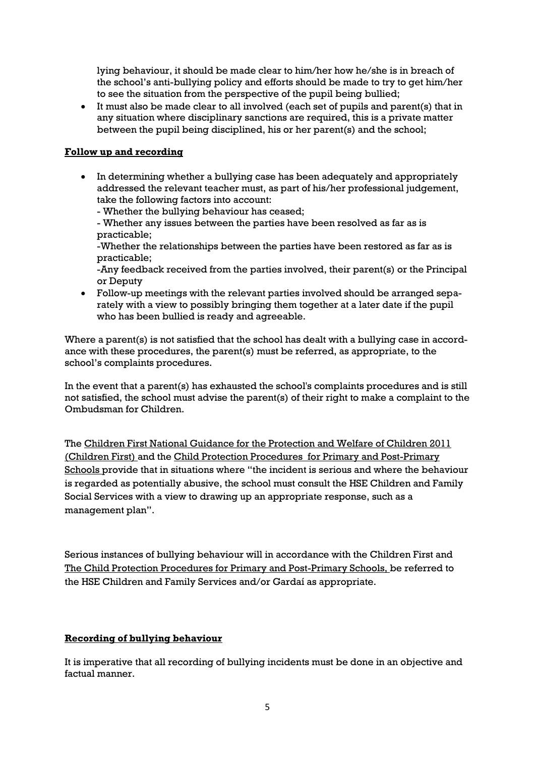lying behaviour, it should be made clear to him/her how he/she is in breach of the school's anti-bullying policy and efforts should be made to try to get him/her to see the situation from the perspective of the pupil being bullied;

 It must also be made clear to all involved (each set of pupils and parent(s) that in any situation where disciplinary sanctions are required, this is a private matter between the pupil being disciplined, his or her parent(s) and the school;

## **Follow up and recording**

- In determining whether a bullying case has been adequately and appropriately addressed the relevant teacher must, as part of his/her professional judgement, take the following factors into account:
	- Whether the bullying behaviour has ceased;

- Whether any issues between the parties have been resolved as far as is practicable;

-Whether the relationships between the parties have been restored as far as is practicable;

-Any feedback received from the parties involved, their parent(s) or the Principal or Deputy

 Follow-up meetings with the relevant parties involved should be arranged separately with a view to possibly bringing them together at a later date if the pupil who has been bullied is ready and agreeable.

Where a parent(s) is not satisfied that the school has dealt with a bullying case in accordance with these procedures, the parent(s) must be referred, as appropriate, to the school's complaints procedures.

In the event that a parent(s) has exhausted the school's complaints procedures and is still not satisfied, the school must advise the parent(s) of their right to make a complaint to the Ombudsman for Children.

The Children First National Guidance for the Protection and Welfare of Children 2011 (Children First) and the Child Protection Procedures for Primary and Post-Primary Schools provide that in situations where "the incident is serious and where the behaviour is regarded as potentially abusive, the school must consult the HSE Children and Family Social Services with a view to drawing up an appropriate response, such as a management plan".

Serious instances of bullying behaviour will in accordance with the Children First and The Child Protection Procedures for Primary and Post-Primary Schools, be referred to the HSE Children and Family Services and/or Gardaí as appropriate.

## **Recording of bullying behaviour**

It is imperative that all recording of bullying incidents must be done in an objective and factual manner.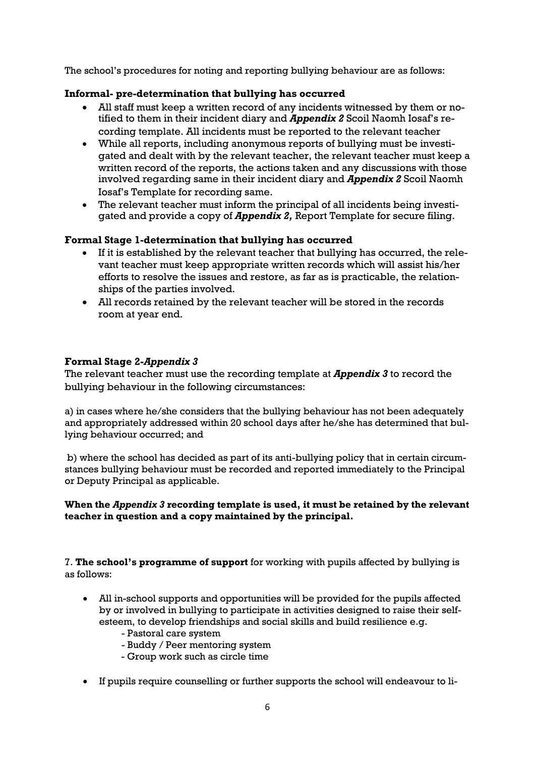The school's procedures for noting and reporting bullying behaviour are as follows:

## **Informal- pre-determination that bullying has occurred**

- All staff must keep a written record of any incidents witnessed by them or notified to them in their incident diary and *Appendix 2* Scoil Naomh Iosaf's recording template. All incidents must be reported to the relevant teacher
- While all reports, including anonymous reports of bullying must be investigated and dealt with by the relevant teacher, the relevant teacher must keep a written record of the reports, the actions taken and any discussions with those involved regarding same in their incident diary and *Appendix 2* Scoil Naomh Iosaf's Template for recording same.
- The relevant teacher must inform the principal of all incidents being investigated and provide a copy of *Appendix 2,* Report Template for secure filing.

## **Formal Stage 1-determination that bullying has occurred**

- If it is established by the relevant teacher that bullying has occurred, the relevant teacher must keep appropriate written records which will assist his/her efforts to resolve the issues and restore, as far as is practicable, the relationships of the parties involved.
- All records retained by the relevant teacher will be stored in the records room at year end.

## **Formal Stage 2-***Appendix 3*

The relevant teacher must use the recording template at *Appendix 3* to record the bullying behaviour in the following circumstances:

a) in cases where he/she considers that the bullying behaviour has not been adequately and appropriately addressed within 20 school days after he/she has determined that bullying behaviour occurred; and

b) where the school has decided as part of its anti-bullying policy that in certain circumstances bullying behaviour must be recorded and reported immediately to the Principal or Deputy Principal as applicable.

## **When the** *Appendix 3* **recording template is used, it must be retained by the relevant teacher in question and a copy maintained by the principal.**

7. **The school's programme of support** for working with pupils affected by bullying is as follows:

- All in-school supports and opportunities will be provided for the pupils affected by or involved in bullying to participate in activities designed to raise their selfesteem, to develop friendships and social skills and build resilience e.g.
	- Pastoral care system
	- Buddy / Peer mentoring system
	- Group work such as circle time
- If pupils require counselling or further supports the school will endeavour to li-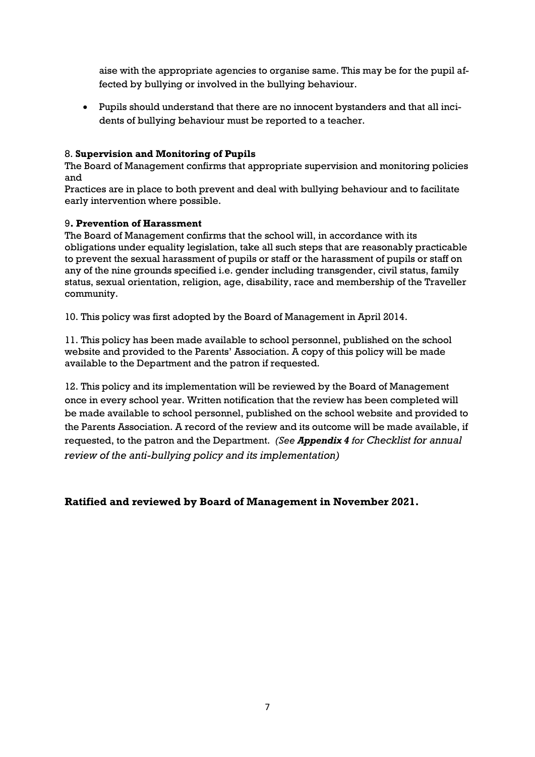aise with the appropriate agencies to organise same. This may be for the pupil affected by bullying or involved in the bullying behaviour.

 Pupils should understand that there are no innocent bystanders and that all incidents of bullying behaviour must be reported to a teacher.

## 8. **Supervision and Monitoring of Pupils**

The Board of Management confirms that appropriate supervision and monitoring policies and

Practices are in place to both prevent and deal with bullying behaviour and to facilitate early intervention where possible.

## 9**. Prevention of Harassment**

The Board of Management confirms that the school will, in accordance with its obligations under equality legislation, take all such steps that are reasonably practicable to prevent the sexual harassment of pupils or staff or the harassment of pupils or staff on any of the nine grounds specified i.e. gender including transgender, civil status, family status, sexual orientation, religion, age, disability, race and membership of the Traveller community.

10. This policy was first adopted by the Board of Management in April 2014.

11. This policy has been made available to school personnel, published on the school website and provided to the Parents' Association. A copy of this policy will be made available to the Department and the patron if requested.

12. This policy and its implementation will be reviewed by the Board of Management once in every school year. Written notification that the review has been completed will be made available to school personnel, published on the school website and provided to the Parents Association. A record of the review and its outcome will be made available, if requested, to the patron and the Department. *(See Appendix 4 for Checklist for annual review of the anti-bullying policy and its implementation)*

**Ratified and reviewed by Board of Management in November 2021.**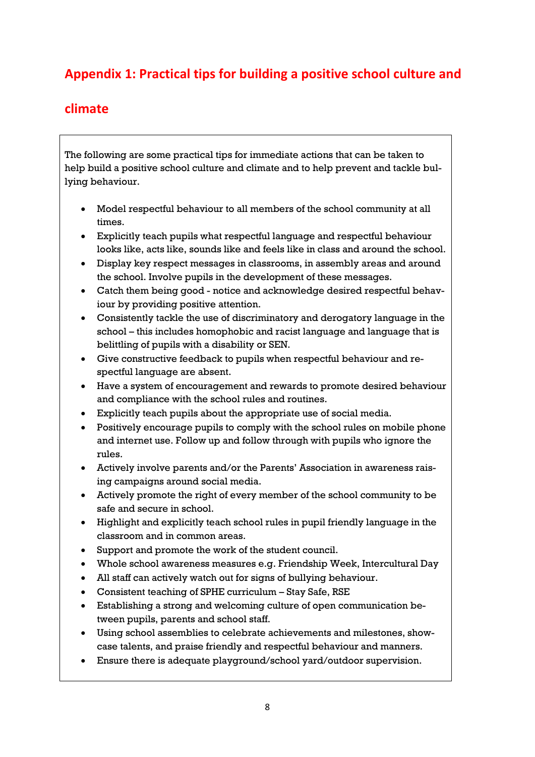# **Appendix 1: Practical tips for building a positive school culture and**

## **climate**

The following are some practical tips for immediate actions that can be taken to help build a positive school culture and climate and to help prevent and tackle bullying behaviour.

- Model respectful behaviour to all members of the school community at all times.
- Explicitly teach pupils what respectful language and respectful behaviour looks like, acts like, sounds like and feels like in class and around the school.
- Display key respect messages in classrooms, in assembly areas and around the school. Involve pupils in the development of these messages.
- Catch them being good notice and acknowledge desired respectful behaviour by providing positive attention.
- Consistently tackle the use of discriminatory and derogatory language in the school – this includes homophobic and racist language and language that is belittling of pupils with a disability or SEN.
- Give constructive feedback to pupils when respectful behaviour and respectful language are absent.
- Have a system of encouragement and rewards to promote desired behaviour and compliance with the school rules and routines.
- Explicitly teach pupils about the appropriate use of social media.
- Positively encourage pupils to comply with the school rules on mobile phone and internet use. Follow up and follow through with pupils who ignore the rules.
- Actively involve parents and/or the Parents' Association in awareness raising campaigns around social media.
- Actively promote the right of every member of the school community to be safe and secure in school.
- Highlight and explicitly teach school rules in pupil friendly language in the classroom and in common areas.
- Support and promote the work of the student council.
- Whole school awareness measures e.g. Friendship Week, Intercultural Day
- All staff can actively watch out for signs of bullying behaviour.
- Consistent teaching of SPHE curriculum Stay Safe, RSE
- Establishing a strong and welcoming culture of open communication between pupils, parents and school staff.
- Using school assemblies to celebrate achievements and milestones, showcase talents, and praise friendly and respectful behaviour and manners.
- Ensure there is adequate playground/school yard/outdoor supervision.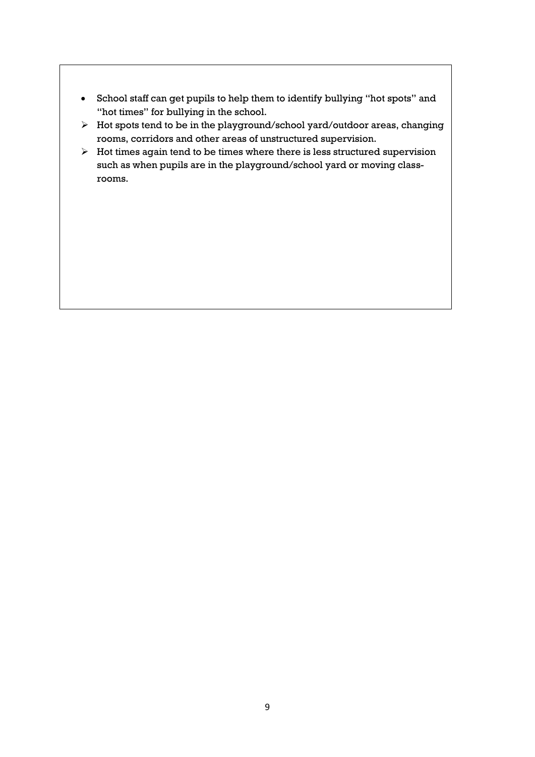- School staff can get pupils to help them to identify bullying "hot spots" and "hot times" for bullying in the school.
- Hot spots tend to be in the playground/school yard/outdoor areas, changing rooms, corridors and other areas of unstructured supervision.
- $\triangleright$  Hot times again tend to be times where there is less structured supervision such as when pupils are in the playground/school yard or moving classrooms.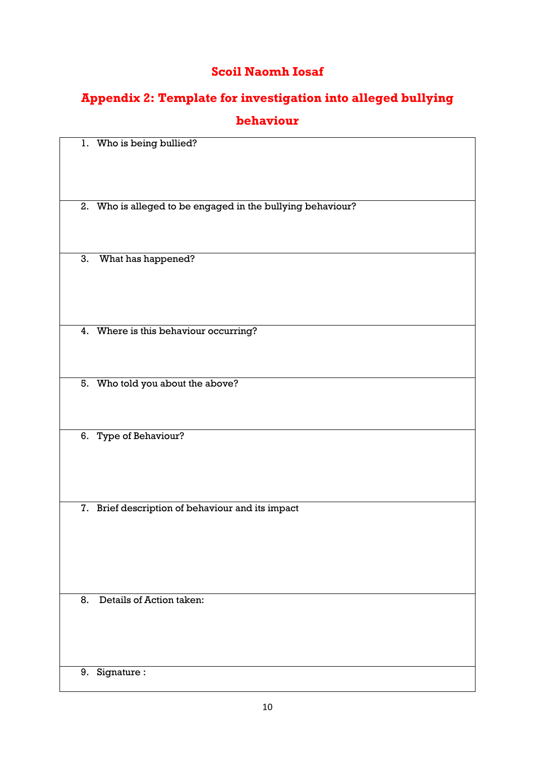# **Scoil Naomh Iosaf**

# **Appendix 2: Template for investigation into alleged bullying**

## **behaviour**

| 1. Who is being bullied?                                   |
|------------------------------------------------------------|
|                                                            |
| 2. Who is alleged to be engaged in the bullying behaviour? |
| 3.                                                         |
| What has happened?                                         |
| 4. Where is this behaviour occurring?                      |
|                                                            |
| 5. Who told you about the above?                           |
|                                                            |
| 6. Type of Behaviour?                                      |
|                                                            |
|                                                            |
| 7. Brief description of behaviour and its impact           |
|                                                            |
|                                                            |
|                                                            |
|                                                            |
| Details of Action taken:<br>8.                             |
|                                                            |
|                                                            |
|                                                            |
| Signature:<br>9.                                           |
|                                                            |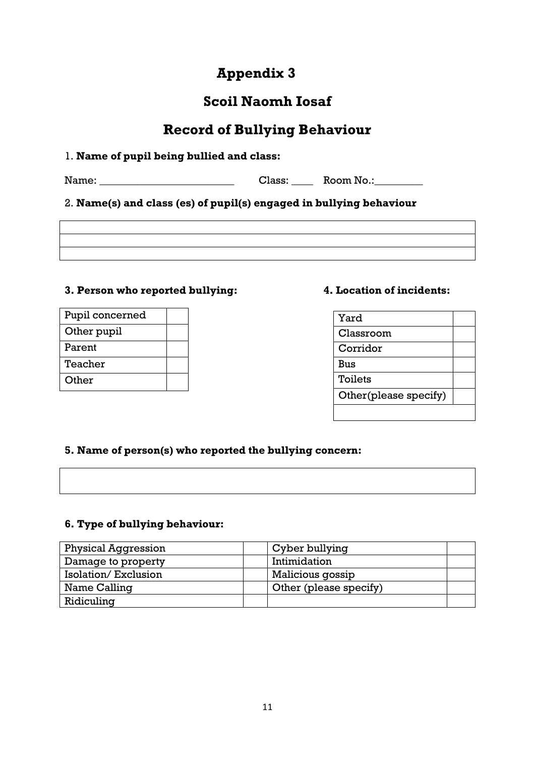# **Appendix 3**

# **Scoil Naomh Iosaf**

# **Record of Bullying Behaviour**

## 1. **Name of pupil being bullied and class:**

Name: \_\_\_\_\_\_\_\_\_\_\_\_\_\_\_\_\_\_\_\_\_\_\_\_\_ Class: \_\_\_\_ Room No.:\_\_\_\_\_\_\_\_\_

2. **Name(s) and class (es) of pupil(s) engaged in bullying behaviour**

## **3. Person who reported bullying: 4. Location of incidents:**

| Pupil concerned |  |
|-----------------|--|
| Other pupil     |  |
| Parent          |  |
| Teacher         |  |
| Other           |  |

| Yard                  |  |
|-----------------------|--|
| Classroom             |  |
| Corridor              |  |
| <b>Bus</b>            |  |
| Toilets               |  |
| Other(please specify) |  |
|                       |  |

## **5. Name of person(s) who reported the bullying concern:**

## **6. Type of bullying behaviour:**

| <b>Physical Aggression</b> | Cyber bullying         |  |
|----------------------------|------------------------|--|
| Damage to property         | Intimidation           |  |
| Isolation/Exclusion        | Malicious gossip       |  |
| Name Calling               | Other (please specify) |  |
| Ridiculing                 |                        |  |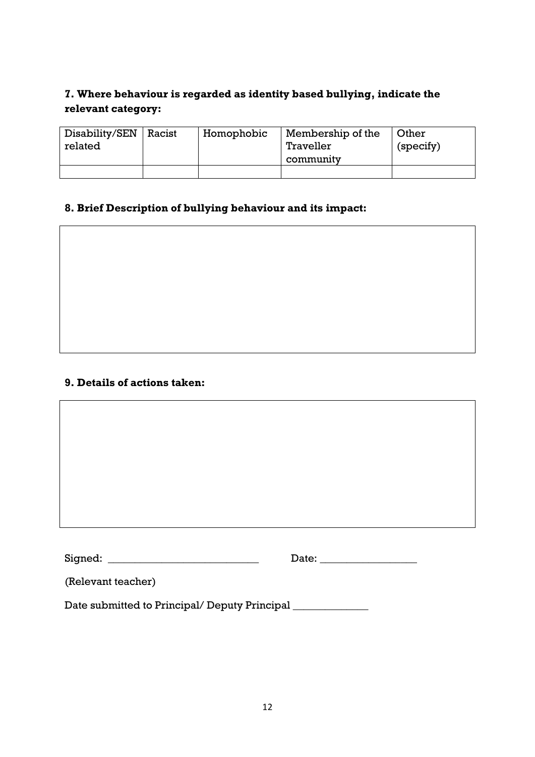## **7. Where behaviour is regarded as identity based bullying, indicate the relevant category:**

| Disability/SEN<br>related | Racist | Homophobic | Membership of the<br>Traveller<br>community | Other<br>(specify) |
|---------------------------|--------|------------|---------------------------------------------|--------------------|
|                           |        |            |                                             |                    |

## **8. Brief Description of bullying behaviour and its impact:**

## **9. Details of actions taken:**

| Signed:                                       | Date: |  |
|-----------------------------------------------|-------|--|
| (Relevant teacher)                            |       |  |
| Date submitted to Principal/ Deputy Principal |       |  |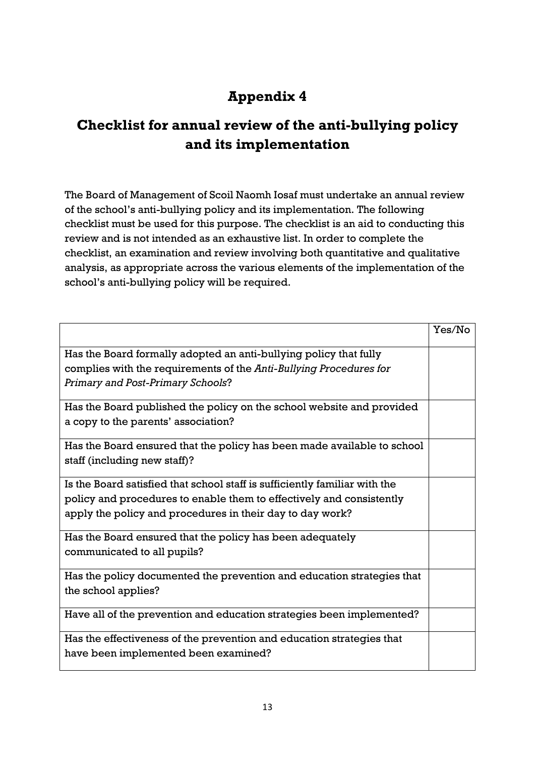# **Appendix 4**

# **Checklist for annual review of the anti-bullying policy and its implementation**

The Board of Management of Scoil Naomh Iosaf must undertake an annual review of the school's anti-bullying policy and its implementation. The following checklist must be used for this purpose. The checklist is an aid to conducting this review and is not intended as an exhaustive list. In order to complete the checklist, an examination and review involving both quantitative and qualitative analysis, as appropriate across the various elements of the implementation of the school's anti-bullying policy will be required.

|                                                                            | Yes/No |
|----------------------------------------------------------------------------|--------|
| Has the Board formally adopted an anti-bullying policy that fully          |        |
| complies with the requirements of the Anti-Bullying Procedures for         |        |
| Primary and Post-Primary Schools?                                          |        |
| Has the Board published the policy on the school website and provided      |        |
| a copy to the parents' association?                                        |        |
| Has the Board ensured that the policy has been made available to school    |        |
| staff (including new staff)?                                               |        |
| Is the Board satisfied that school staff is sufficiently familiar with the |        |
| policy and procedures to enable them to effectively and consistently       |        |
| apply the policy and procedures in their day to day work?                  |        |
| Has the Board ensured that the policy has been adequately                  |        |
| communicated to all pupils?                                                |        |
| Has the policy documented the prevention and education strategies that     |        |
| the school applies?                                                        |        |
| Have all of the prevention and education strategies been implemented?      |        |
| Has the effectiveness of the prevention and education strategies that      |        |
| have been implemented been examined?                                       |        |